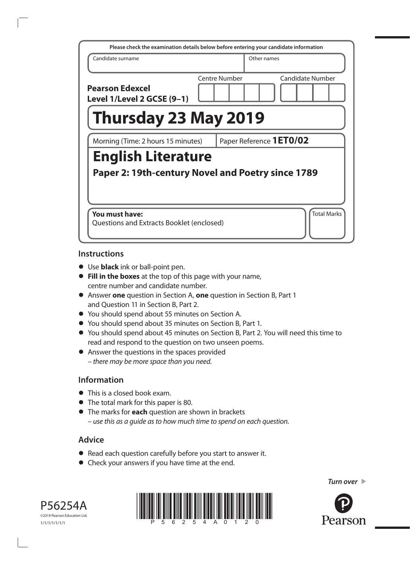|                                                             | Please check the examination details below before entering your candidate information |
|-------------------------------------------------------------|---------------------------------------------------------------------------------------|
| Candidate surname                                           | Other names                                                                           |
| <b>Pearson Edexcel</b><br>Level 1/Level 2 GCSE (9-1)        | Centre Number<br>Candidate Number                                                     |
| Thursday 23 May 2019                                        |                                                                                       |
| Morning (Time: 2 hours 15 minutes)                          | Paper Reference 1ET0/02                                                               |
| <b>English Literature</b>                                   |                                                                                       |
| Paper 2: 19th-century Novel and Poetry since 1789           |                                                                                       |
|                                                             |                                                                                       |
| You must have:<br>Questions and Extracts Booklet (enclosed) | <b>Total Marks</b>                                                                    |

## **Instructions**

- **•** Use **black** ink or ball-point pen.
- **• Fill in the boxes** at the top of this page with your name, centre number and candidate number.
- **•** Answer **one** question in Section A, **one** question in Section B, Part 1 and Question 11 in Section B, Part 2.
- **•** You should spend about 55 minutes on Section A.
- **•** You should spend about 35 minutes on Section B, Part 1.
- **•** You should spend about 45 minutes on Section B, Part 2. You will need this time to read and respond to the question on two unseen poems.
- **•** Answer the questions in the spaces provided *– there may be more space than you need.*

# **Information**

- **•** This is a closed book exam.
- **•** The total mark for this paper is 80.
- **•** The marks for **each** question are shown in brackets *– use this as a guide as to how much time to spend on each question.*

# **Advice**

- **•** Read each question carefully before you start to answer it.
- **•** Check your answers if you have time at the end.







*Turn over* 

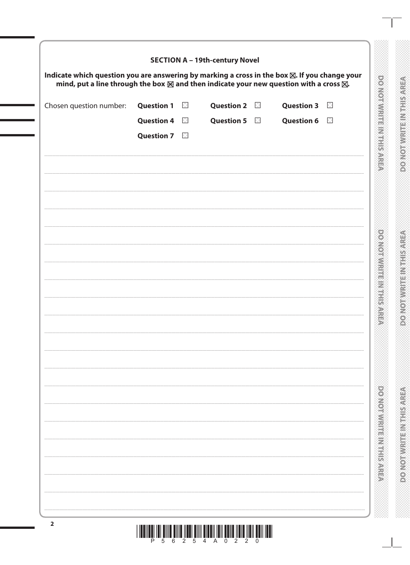| <b>DOMOROWRISH SMARTING</b><br>Chosen question number: <b>Question 1</b> $\boxtimes$ <b>Question 2</b> $\boxtimes$<br>Question 3<br>Question 4 2 Question 5 2<br>Question 6<br><b>BOX OF SOLUTION</b><br>Question 7 | Indicate which question you are answering by marking a cross in the box $\boxtimes$ . If you change your<br>mind, put a line through the box $\boxtimes$ and then indicate your new question with a cross $\boxtimes$ . |  |  |  | SAREA |
|---------------------------------------------------------------------------------------------------------------------------------------------------------------------------------------------------------------------|-------------------------------------------------------------------------------------------------------------------------------------------------------------------------------------------------------------------------|--|--|--|-------|
|                                                                                                                                                                                                                     |                                                                                                                                                                                                                         |  |  |  |       |
|                                                                                                                                                                                                                     |                                                                                                                                                                                                                         |  |  |  |       |
|                                                                                                                                                                                                                     |                                                                                                                                                                                                                         |  |  |  |       |
|                                                                                                                                                                                                                     |                                                                                                                                                                                                                         |  |  |  |       |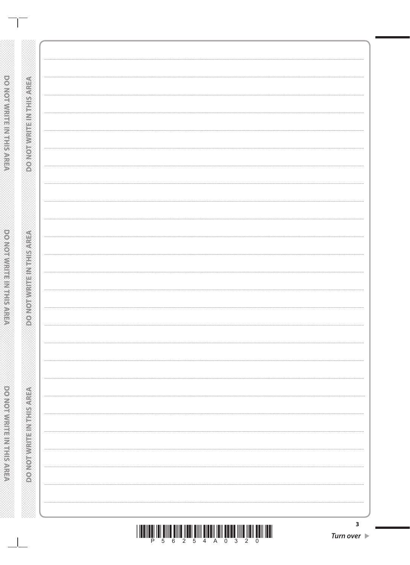|                                       | $\begin{array}{c} \hbox{  l  l  } \hbox{  l  } \hbox{  l  } \hbox{  l  } \hbox{  l  } \hbox{  l  } \hbox{  l  } \hbox{  l  } \hbox{  l  } \hbox{  l  } \hbox{  l  } \hbox{  l  } \hbox{  l  } \hbox{  l  } \hbox{  l  } \hbox{  l  } \hbox{  l  } \hbox{  l  } \hbox{  l  } \hbox{  l  } \hbox{  l  } \hbox{  l  } \hbox{  l  } \hbox{  l  } \hbox{  l  } \hbox{  l  } \hbox$ | 3<br>Turn over $\blacktriangleright$ |
|---------------------------------------|-------------------------------------------------------------------------------------------------------------------------------------------------------------------------------------------------------------------------------------------------------------------------------------------------------------------------------------------------------------------------------|--------------------------------------|
|                                       |                                                                                                                                                                                                                                                                                                                                                                               |                                      |
| <b>RONOTWRITEIN THIS AREA</b>         |                                                                                                                                                                                                                                                                                                                                                                               |                                      |
|                                       |                                                                                                                                                                                                                                                                                                                                                                               |                                      |
| <br>                                  |                                                                                                                                                                                                                                                                                                                                                                               |                                      |
|                                       |                                                                                                                                                                                                                                                                                                                                                                               |                                      |
|                                       |                                                                                                                                                                                                                                                                                                                                                                               |                                      |
|                                       |                                                                                                                                                                                                                                                                                                                                                                               |                                      |
|                                       |                                                                                                                                                                                                                                                                                                                                                                               |                                      |
| <b>START REPORT OF START OF START</b> |                                                                                                                                                                                                                                                                                                                                                                               |                                      |
|                                       |                                                                                                                                                                                                                                                                                                                                                                               |                                      |
|                                       |                                                                                                                                                                                                                                                                                                                                                                               |                                      |
|                                       |                                                                                                                                                                                                                                                                                                                                                                               |                                      |
| <b>DONOIAMRNETHERMED</b>              |                                                                                                                                                                                                                                                                                                                                                                               |                                      |
|                                       |                                                                                                                                                                                                                                                                                                                                                                               |                                      |

 $\mathbb{R}^n$ 

DOMOTMRITEINTHISAREA

**DOOMORDERMENTSKER** 

**DOOMMENTEMENTSREA** 

 $\perp$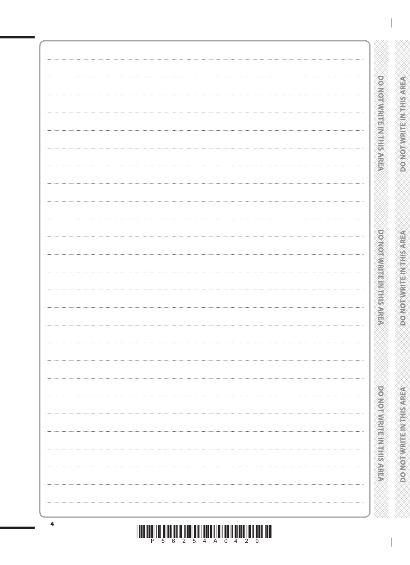| г, | г, |  |  |  |
|----|----|--|--|--|

| <b>PONOIANTE REPORT</b>              |
|--------------------------------------|
|                                      |
|                                      |
|                                      |
|                                      |
|                                      |
|                                      |
|                                      |
|                                      |
|                                      |
|                                      |
|                                      |
|                                      |
|                                      |
|                                      |
|                                      |
|                                      |
|                                      |
| <b>MARINE BELLEVILLE</b>             |
|                                      |
|                                      |
|                                      |
|                                      |
|                                      |
|                                      |
|                                      |
| 页<br>ъ                               |
|                                      |
|                                      |
|                                      |
|                                      |
|                                      |
|                                      |
|                                      |
|                                      |
|                                      |
|                                      |
|                                      |
|                                      |
|                                      |
| provider With the Internet State and |
|                                      |
|                                      |
|                                      |
|                                      |
|                                      |
|                                      |
|                                      |
|                                      |

Ξ

**DONOTWRITEINTHSAREA** 

**ASSISTED METAL PROVIDED** 

**DO NOT WRITEIN THIS AREA**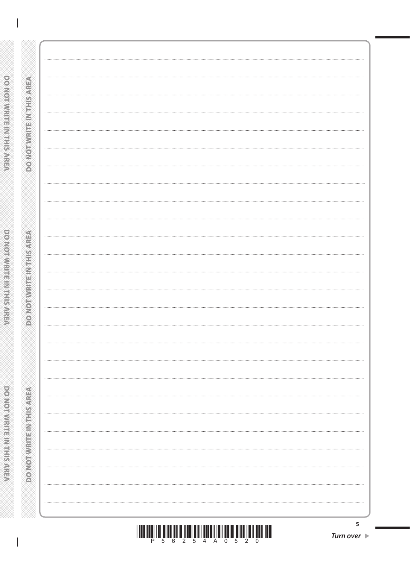|                                   | $\begin{array}{c} \text{if} \ \text{if} \ \text{if} \ \text{if} \ \text{if} \ \text{if} \ \text{if} \ \text{if} \ \text{if} \ \text{if} \ \text{if} \ \text{if} \ \text{if} \ \text{if} \ \text{if} \ \text{if} \ \text{if} \ \text{if} \ \text{if} \ \text{if} \ \text{if} \ \text{if} \ \text{if} \ \text{if} \ \text{if} \ \text{if} \ \text{if} \ \text{if} \ \text{if} \ \text{if} \ \text{if} \ \text{if} \ \text{if} \ \text{if} \ \text{if} \ \text{$ | 5 |
|-----------------------------------|---------------------------------------------------------------------------------------------------------------------------------------------------------------------------------------------------------------------------------------------------------------------------------------------------------------------------------------------------------------------------------------------------------------------------------------------------------------|---|
| <b>DONOTWEEDING BRANCONCO</b><br> |                                                                                                                                                                                                                                                                                                                                                                                                                                                               |   |
|                                   |                                                                                                                                                                                                                                                                                                                                                                                                                                                               |   |
|                                   |                                                                                                                                                                                                                                                                                                                                                                                                                                                               |   |
|                                   |                                                                                                                                                                                                                                                                                                                                                                                                                                                               |   |
|                                   |                                                                                                                                                                                                                                                                                                                                                                                                                                                               |   |
|                                   |                                                                                                                                                                                                                                                                                                                                                                                                                                                               |   |
|                                   |                                                                                                                                                                                                                                                                                                                                                                                                                                                               |   |
|                                   |                                                                                                                                                                                                                                                                                                                                                                                                                                                               |   |
|                                   |                                                                                                                                                                                                                                                                                                                                                                                                                                                               |   |
|                                   |                                                                                                                                                                                                                                                                                                                                                                                                                                                               |   |
|                                   |                                                                                                                                                                                                                                                                                                                                                                                                                                                               |   |

a ka

DOOMOTIVIRITEIN/THISAREA

**POONMARTENMENTSREAR** 

**DOMOTIVIRITEINIRINISAREA** 

 $\Box$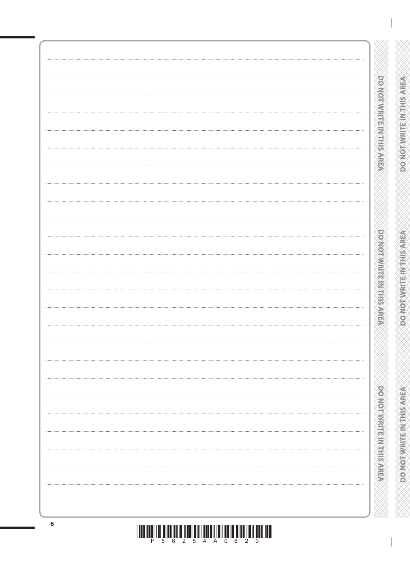|  |  |  |  | P 5 6 2 5 4 A 0 6 2 0 |  |  |
|--|--|--|--|-----------------------|--|--|

| <b>DONO RIVERSIDENTIAL</b> |
|----------------------------|
|                            |
|                            |
|                            |
|                            |
|                            |
|                            |
|                            |
|                            |
|                            |
|                            |
|                            |
|                            |
|                            |
|                            |
|                            |
|                            |
|                            |
|                            |
| <b>PONDERN PRESENTED</b>   |
|                            |
|                            |
|                            |
|                            |
|                            |
|                            |
|                            |
|                            |
|                            |
|                            |
|                            |
|                            |
|                            |
|                            |
|                            |
|                            |
|                            |
|                            |
|                            |
|                            |
|                            |
|                            |
|                            |
| policionistical interests  |
|                            |
|                            |
|                            |
|                            |
|                            |
|                            |
|                            |
|                            |
|                            |
|                            |

**DOMOT WRITEIN THIS AREA** 

**PONOTWATE INTERNET** 

**DONOTWRITEIN THIS AREA**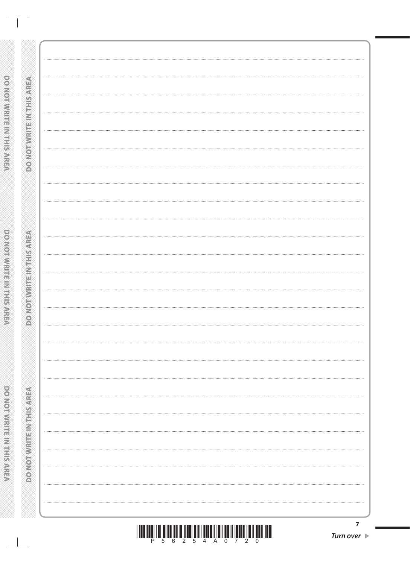| <b>PONOTHING TERMIT SAREA</b> |  |  |  |                         |
|-------------------------------|--|--|--|-------------------------|
|                               |  |  |  |                         |
|                               |  |  |  |                         |
|                               |  |  |  |                         |
|                               |  |  |  |                         |
|                               |  |  |  |                         |
|                               |  |  |  |                         |
|                               |  |  |  |                         |
|                               |  |  |  |                         |
|                               |  |  |  |                         |
|                               |  |  |  |                         |
|                               |  |  |  |                         |
|                               |  |  |  |                         |
|                               |  |  |  |                         |
|                               |  |  |  |                         |
|                               |  |  |  |                         |
|                               |  |  |  |                         |
|                               |  |  |  |                         |
|                               |  |  |  |                         |
|                               |  |  |  |                         |
| <b>DESIGNATION</b> CONTROLLED |  |  |  |                         |
|                               |  |  |  |                         |
|                               |  |  |  |                         |
|                               |  |  |  | $\overline{\mathbf{z}}$ |

 $\mathbb{R}^n$ 

DOMOTMRITEINTHISAREA

**DOOMORDERMENTSKER** 

**DOOMMENTEMENTSREA** 

 $\Box$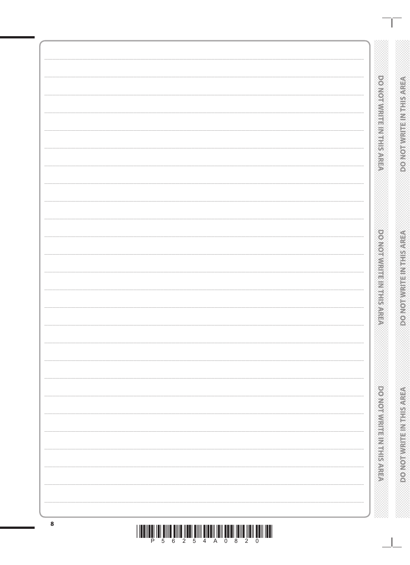| TEI IEI DIIE DIIE IEU DEI DIII DIE II IEI DOE IEIE IEIE DEI DEI IEU<br>5 4 A 0 8 2<br>6 2<br>P<br>Б.<br>$\Omega$ |  |
|------------------------------------------------------------------------------------------------------------------|--|

| <b>PONO NEW HEATHER STATES</b>    |
|-----------------------------------|
|                                   |
|                                   |
|                                   |
|                                   |
|                                   |
|                                   |
|                                   |
|                                   |
|                                   |
|                                   |
|                                   |
|                                   |
|                                   |
|                                   |
|                                   |
|                                   |
|                                   |
|                                   |
|                                   |
|                                   |
|                                   |
| <b>Montgomment and Service</b>    |
|                                   |
|                                   |
|                                   |
|                                   |
|                                   |
|                                   |
|                                   |
|                                   |
|                                   |
|                                   |
|                                   |
|                                   |
|                                   |
|                                   |
|                                   |
|                                   |
|                                   |
|                                   |
|                                   |
|                                   |
|                                   |
| <b>DOMESTIC REPORTS OF STREET</b> |
|                                   |
|                                   |
|                                   |
|                                   |
|                                   |
|                                   |
| .                                 |
|                                   |
|                                   |
|                                   |
|                                   |
| .                                 |
|                                   |
|                                   |
|                                   |
|                                   |
|                                   |

Ī  $\overline{\phantom{a}}$ 

DO NOTWRITEIN THIS AREA

**DO NOT WRITE IN THIS AREA** 

**DO NOT WRITEIN THIS AREA** 

K.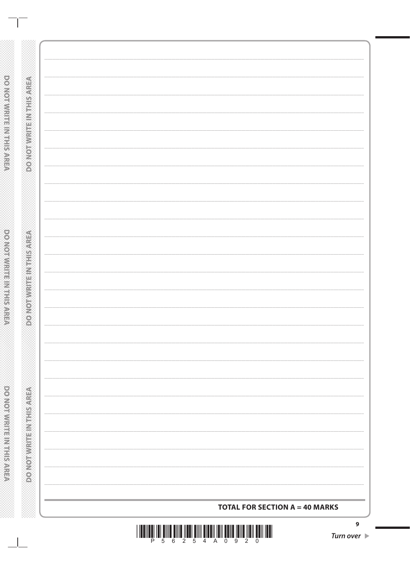| <b>DOMOSHIP HERRICANS</b>      | MOTAVIRITEIN<br>医白色<br>Ø.<br>W)<br>le<br>Ca<br>$\frac{1}{2}$ | <br><br> |
|--------------------------------|--------------------------------------------------------------|----------|
| <b>DOMOTIVIRIBITE INSTRUST</b> | is<br>H                                                      |          |
| <b>OONOIMARIES NEEDS AGE</b>   | <b>MIETING ONOGRAPH</b>                                      |          |

a ka

 $\Box$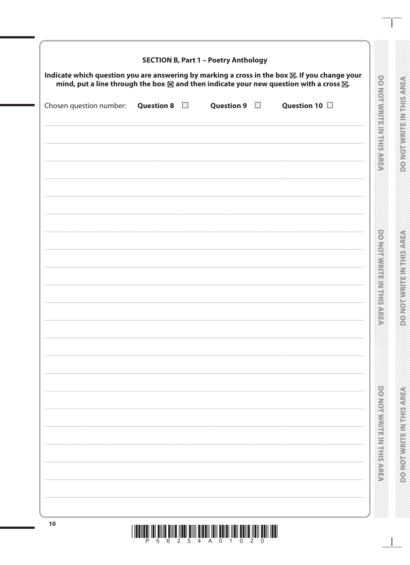| mind, put a line through the box $\boxtimes$ and then indicate your new question with a cross $\boxtimes$ .<br>Chosen question number: <b>Question 8 24 200 Question 9 24 200 Question 10 24</b> | <b>DOMONWERFARMER/NEED</b>                | <b>CONTROL</b><br><u>ଚୁ</u> |
|--------------------------------------------------------------------------------------------------------------------------------------------------------------------------------------------------|-------------------------------------------|-----------------------------|
|                                                                                                                                                                                                  | <b>DONOMIAL HERMITERS</b>                 |                             |
|                                                                                                                                                                                                  | <b>DOSTROIT DES RESERVES DES SURFACTS</b> | <b>CONTROL</b>              |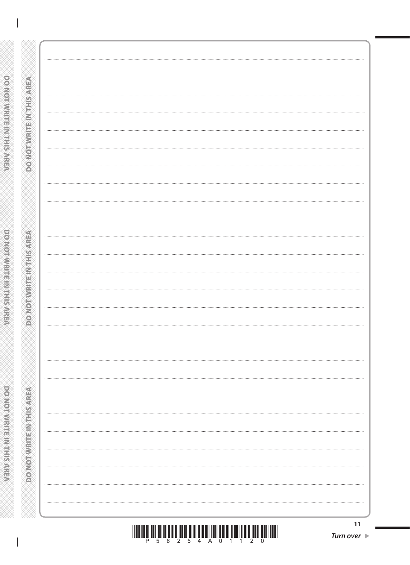| $\frac{1}{2}$ |  |
|---------------|--|
|               |  |
|               |  |

a ka

**DO NOT WRITE IN THIS AREA** 

**DOMOTIVE IN THE REFER** 

DOMOTIVITIE IN THIS AREA

 $\Box$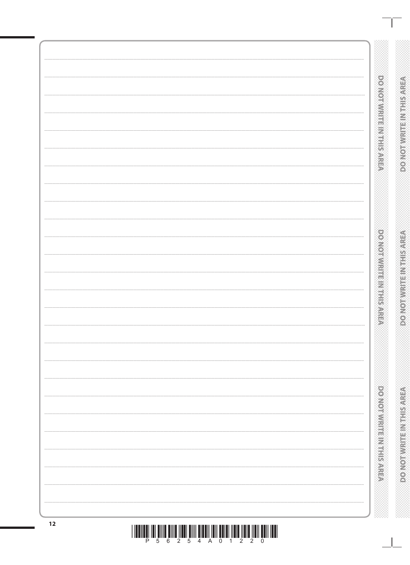| 12 | P<br>$\overline{2}$<br>$\overline{2}$<br>5<br>6<br>Α<br>0<br>2<br>$\overline{0}$ |                                                      |
|----|----------------------------------------------------------------------------------|------------------------------------------------------|
|    |                                                                                  | providing the members of service.<br>č               |
|    |                                                                                  | <b>PONDONAIR PROPERTY AND ALCOHOL</b><br>需<br>ř<br>ē |
|    |                                                                                  | <b>POWORWARE MARKET STREET</b><br>ĎĎ<br>g            |
|    |                                                                                  |                                                      |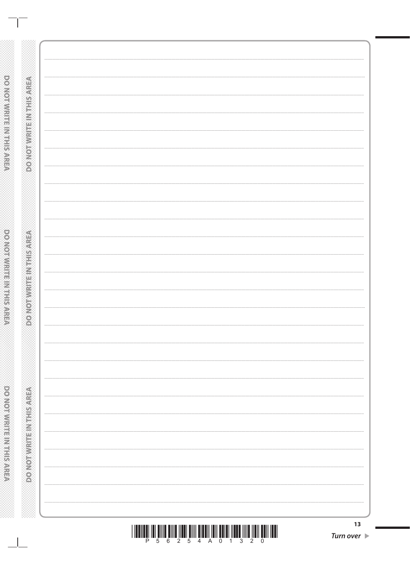| <b>DOMORAMENT RESPECTS</b>                   | <b>DOMINIAN PROVIDED</b> | <b>OCKONNAMENT AND ISSUED</b>                    |
|----------------------------------------------|--------------------------|--------------------------------------------------|
| 岳<br>œ<br>⋖<br>U)<br>ШÌ.<br>O<br>Z<br>Ø<br>Ø | G<br>H                   | ER<br>Calculation<br>Calculation<br><b>DOXIC</b> |
|                                              |                          |                                                  |
|                                              |                          |                                                  |
|                                              |                          |                                                  |
|                                              |                          |                                                  |
|                                              |                          |                                                  |
|                                              |                          |                                                  |
|                                              |                          |                                                  |
|                                              |                          |                                                  |
|                                              |                          |                                                  |
|                                              |                          |                                                  |

a ka

 $\Box$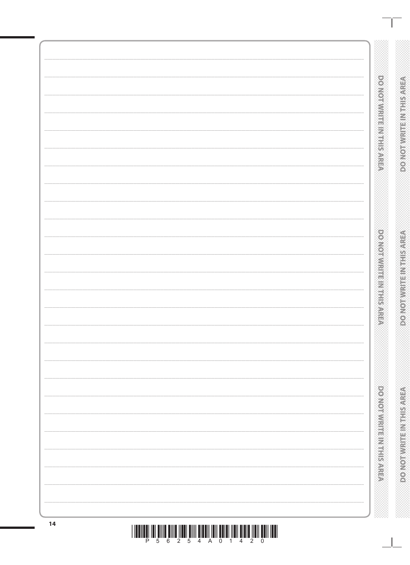|                                                                                                                                   | ņп<br>Ï<br>n                 | <b>CONSTRUCTION</b><br>ă       |
|-----------------------------------------------------------------------------------------------------------------------------------|------------------------------|--------------------------------|
|                                                                                                                                   | ŔЙ.<br>ir<br>G               | Ø,                             |
|                                                                                                                                   | <b>DOMORWIRE INSTRUCTION</b> | <b>ABRASH INNER MARKONG CO</b> |
| IIII II<br>$\overline{P}$<br>5<br>6<br>5<br>0<br>$\overline{4}$<br>$\mathbf 0$<br>$\overline{2}$<br>4<br>1<br>$\overline{2}$<br>Α |                              |                                |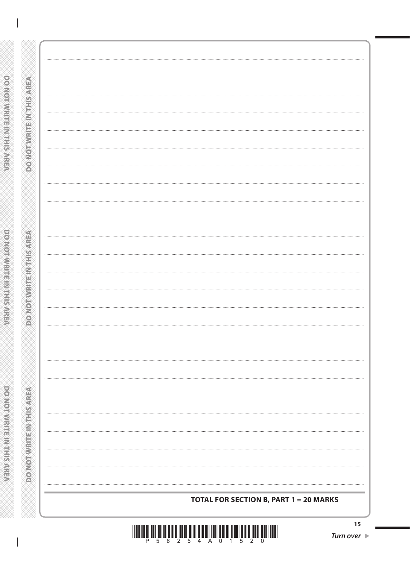| <br><br> |
|----------|
|          |
|          |

 $\mathbf{1}$ 

**DOMOTIVIRITE IN THIS AREA** 

**DOMOTIVE INTERNATION** 

DONOTWRITEININGWEY

 $\Box$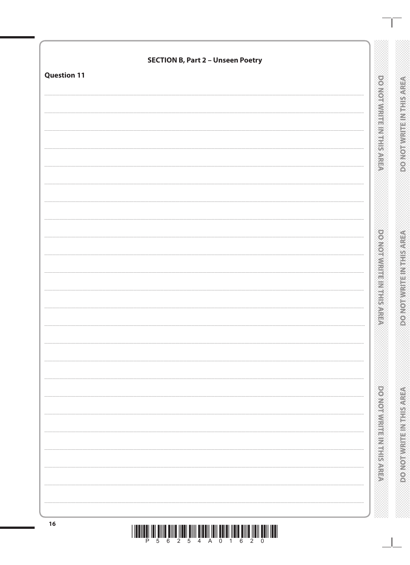|                    | <b>SECTION B, Part 2 - Unseen Poetry</b> |                                    |
|--------------------|------------------------------------------|------------------------------------|
| <b>Question 11</b> |                                          | Œ                                  |
|                    |                                          | <b>DONONAGE AND A PARTICIPATOR</b> |
|                    |                                          |                                    |
|                    |                                          | .                                  |
|                    |                                          |                                    |
|                    |                                          |                                    |
|                    |                                          |                                    |
|                    |                                          |                                    |
|                    |                                          |                                    |
|                    |                                          | <b>DONNOIR WEBSTAND BEEN STATE</b> |
|                    |                                          |                                    |
|                    |                                          |                                    |
|                    |                                          | ×                                  |
|                    |                                          |                                    |
|                    |                                          |                                    |
|                    |                                          |                                    |
|                    |                                          |                                    |
|                    |                                          |                                    |
|                    |                                          |                                    |
|                    |                                          |                                    |
|                    |                                          | postes and the main state of the   |
|                    |                                          |                                    |
|                    |                                          |                                    |
| 16                 |                                          |                                    |

#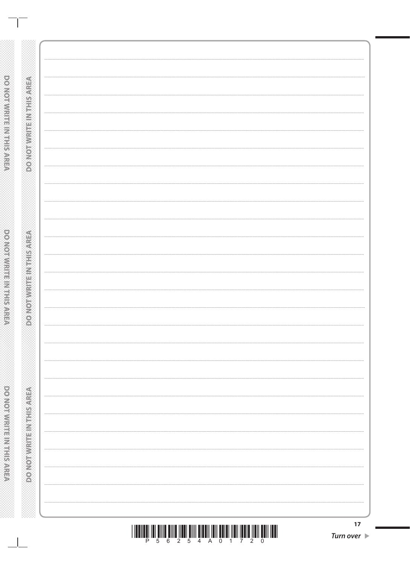a ka

**DO NOT WRITE IN THIS AREA** 

**DOMOTIVE IN THE REFER** 

DOMOTIVITIE IN THIS AREA

 $\Box$ 

Turn over  $\blacktriangleright$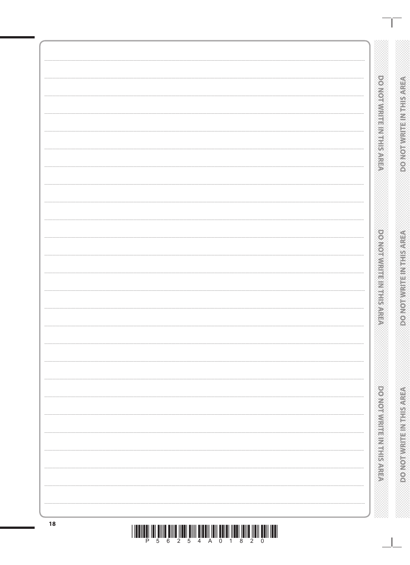| <b>OF REAL PROPERTY AND ADDRESS</b> |                 |
|-------------------------------------|-----------------|
|                                     |                 |
|                                     |                 |
|                                     |                 |
|                                     |                 |
|                                     |                 |
|                                     |                 |
|                                     |                 |
|                                     |                 |
|                                     |                 |
|                                     |                 |
|                                     |                 |
|                                     |                 |
|                                     |                 |
|                                     |                 |
|                                     |                 |
|                                     |                 |
|                                     |                 |
|                                     |                 |
|                                     |                 |
|                                     |                 |
|                                     |                 |
|                                     |                 |
|                                     |                 |
|                                     |                 |
|                                     |                 |
|                                     |                 |
|                                     |                 |
|                                     |                 |
|                                     |                 |
|                                     |                 |
|                                     |                 |
|                                     |                 |
|                                     |                 |
|                                     |                 |
| o<br>Colo                           |                 |
|                                     |                 |
|                                     |                 |
|                                     |                 |
|                                     |                 |
|                                     |                 |
|                                     |                 |
|                                     |                 |
|                                     |                 |
|                                     |                 |
|                                     |                 |
|                                     | <b>ARTICLES</b> |
|                                     |                 |
|                                     |                 |
|                                     |                 |
|                                     |                 |
|                                     |                 |
|                                     |                 |
|                                     |                 |
|                                     |                 |
|                                     |                 |
|                                     |                 |
|                                     |                 |
|                                     |                 |
|                                     |                 |
|                                     |                 |
|                                     |                 |
|                                     |                 |
| <b>MARKET ANGELSATISM</b>           |                 |
|                                     |                 |
|                                     |                 |
|                                     |                 |
|                                     |                 |
|                                     |                 |
|                                     |                 |
|                                     |                 |
|                                     |                 |
|                                     |                 |
|                                     |                 |
|                                     |                 |
|                                     |                 |
|                                     |                 |
|                                     |                 |
|                                     |                 |
|                                     |                 |
|                                     |                 |
|                                     |                 |
|                                     |                 |
| Š                                   |                 |
|                                     |                 |
|                                     |                 |
|                                     |                 |
|                                     |                 |
|                                     |                 |
|                                     |                 |
|                                     |                 |
|                                     |                 |
|                                     |                 |
| Ņ                                   |                 |
|                                     |                 |
|                                     |                 |
| XIX BAT                             |                 |
|                                     |                 |
|                                     |                 |
|                                     |                 |
|                                     |                 |
|                                     |                 |
|                                     |                 |
|                                     |                 |
|                                     |                 |
|                                     |                 |
| ī.                                  |                 |

|  |  |  |  | <u> ITINI ILI TIID AND TIID IN TIID IN TIID IN TIID IN TIID IN TIID IN TIID IN TIID IN TIID IN TIID IN TIID IN TI</u> |  |  |  |
|--|--|--|--|-----------------------------------------------------------------------------------------------------------------------|--|--|--|
|  |  |  |  | P 5 6 2 5 4 A 0 1 8 2 0                                                                                               |  |  |  |

| I | ٦       |
|---|---------|
|   | I<br>M. |

 $\ddotsc$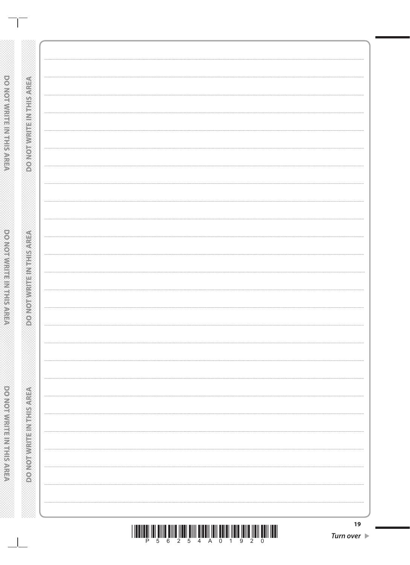| <b>PORTORIAL PRESENTATION</b><br>30) |  |  |
|--------------------------------------|--|--|
|                                      |  |  |
|                                      |  |  |
|                                      |  |  |
|                                      |  |  |

a ka

DO NOT WRITE IN THIS AREA

**DOMOTIVE IN THE REFER** 

DOMOTWRITEINTHIS AREA

 $\Box$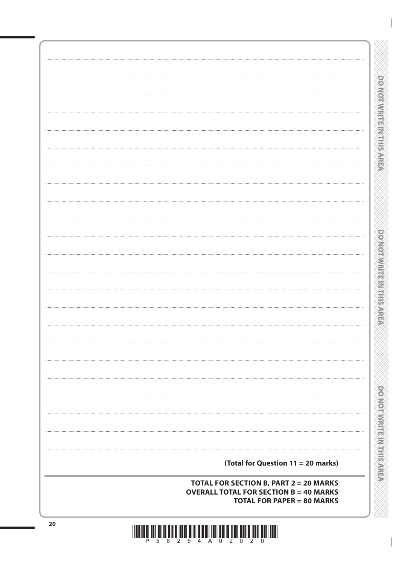(Total for Question 11 = 20 marks)

TOTAL FOR SECTION B, PART 2 = 20 MARKS **OVERALL TOTAL FOR SECTION B = 40 MARKS TOTAL FOR PAPER = 80 MARKS** 

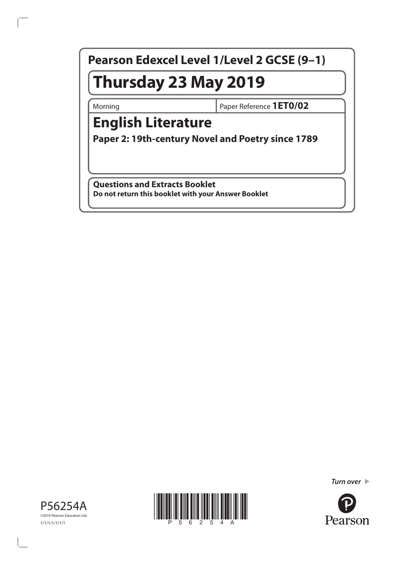| Thursday 23 May 2019                              |                         |
|---------------------------------------------------|-------------------------|
| Morning                                           | Paper Reference 1ET0/02 |
| <b>English Literature</b>                         |                         |
| Paper 2: 19th-century Novel and Poetry since 1789 |                         |
|                                                   |                         |



 $\overline{\phantom{1}}$ 





*Turn over*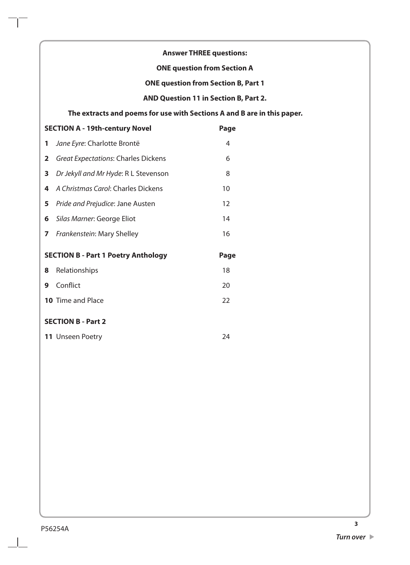| <b>Answer THREE questions:</b> |                                                                                  |                                                                                                                                                                  |                                                                                                                  |
|--------------------------------|----------------------------------------------------------------------------------|------------------------------------------------------------------------------------------------------------------------------------------------------------------|------------------------------------------------------------------------------------------------------------------|
|                                | <b>ONE question from Section A</b><br><b>ONE question from Section B, Part 1</b> |                                                                                                                                                                  |                                                                                                                  |
|                                |                                                                                  |                                                                                                                                                                  |                                                                                                                  |
|                                |                                                                                  |                                                                                                                                                                  |                                                                                                                  |
|                                |                                                                                  |                                                                                                                                                                  |                                                                                                                  |
|                                |                                                                                  | Page                                                                                                                                                             |                                                                                                                  |
| 1                              | Jane Eyre: Charlotte Brontë                                                      | 4                                                                                                                                                                |                                                                                                                  |
| $\overline{\mathbf{2}}$        | <b>Great Expectations: Charles Dickens</b>                                       | 6                                                                                                                                                                |                                                                                                                  |
| 3                              | Dr Jekyll and Mr Hyde: R L Stevenson                                             | 8                                                                                                                                                                |                                                                                                                  |
| 4                              | A Christmas Carol: Charles Dickens                                               | 10                                                                                                                                                               |                                                                                                                  |
| 5                              | Pride and Prejudice: Jane Austen                                                 | 12                                                                                                                                                               |                                                                                                                  |
| 6                              | Silas Marner: George Eliot                                                       | 14                                                                                                                                                               |                                                                                                                  |
| 7                              | Frankenstein: Mary Shelley                                                       | 16                                                                                                                                                               |                                                                                                                  |
|                                |                                                                                  | Page                                                                                                                                                             |                                                                                                                  |
| 8                              | Relationships                                                                    | 18                                                                                                                                                               |                                                                                                                  |
| 9                              | Conflict                                                                         | 20                                                                                                                                                               |                                                                                                                  |
|                                |                                                                                  | 22                                                                                                                                                               |                                                                                                                  |
|                                |                                                                                  |                                                                                                                                                                  |                                                                                                                  |
|                                |                                                                                  | 24                                                                                                                                                               |                                                                                                                  |
|                                |                                                                                  | <b>SECTION A - 19th-century Novel</b><br><b>SECTION B - Part 1 Poetry Anthology</b><br><b>10 Time and Place</b><br><b>SECTION B - Part 2</b><br>11 Unseen Poetry | AND Question 11 in Section B, Part 2.<br>The extracts and poems for use with Sections A and B are in this paper. |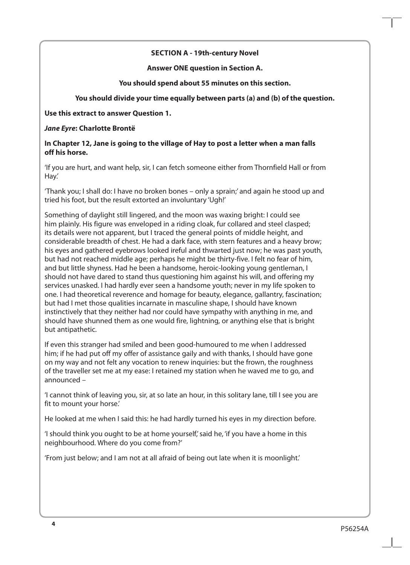#### **SECTION A - 19th-century Novel**

#### **Answer ONE question in Section A.**

#### **You should spend about 55 minutes on this section.**

#### **You should divide your time equally between parts (a) and (b) of the question.**

#### **Use this extract to answer Question 1.**

#### *Jane Eyre***: Charlotte Brontë**

#### **In Chapter 12, Jane is going to the village of Hay to post a letter when a man falls off his horse.**

'If you are hurt, and want help, sir, I can fetch someone either from Thornfield Hall or from Hay.'

'Thank you; I shall do: I have no broken bones – only a sprain;' and again he stood up and tried his foot, but the result extorted an involuntary 'Ugh!'

Something of daylight still lingered, and the moon was waxing bright: I could see him plainly. His figure was enveloped in a riding cloak, fur collared and steel clasped; its details were not apparent, but I traced the general points of middle height, and considerable breadth of chest. He had a dark face, with stern features and a heavy brow; his eyes and gathered eyebrows looked ireful and thwarted just now; he was past youth, but had not reached middle age; perhaps he might be thirty-five. I felt no fear of him, and but little shyness. Had he been a handsome, heroic-looking young gentleman, I should not have dared to stand thus questioning him against his will, and offering my services unasked. I had hardly ever seen a handsome youth; never in my life spoken to one. I had theoretical reverence and homage for beauty, elegance, gallantry, fascination; but had I met those qualities incarnate in masculine shape, I should have known instinctively that they neither had nor could have sympathy with anything in me, and should have shunned them as one would fire, lightning, or anything else that is bright but antipathetic.

If even this stranger had smiled and been good-humoured to me when I addressed him; if he had put off my offer of assistance gaily and with thanks, I should have gone on my way and not felt any vocation to renew inquiries: but the frown, the roughness of the traveller set me at my ease: I retained my station when he waved me to go, and announced –

'I cannot think of leaving you, sir, at so late an hour, in this solitary lane, till I see you are fit to mount your horse.'

He looked at me when I said this: he had hardly turned his eyes in my direction before.

'I should think you ought to be at home yourself,' said he, 'if you have a home in this neighbourhood. Where do you come from?'

'From just below; and I am not at all afraid of being out late when it is moonlight.'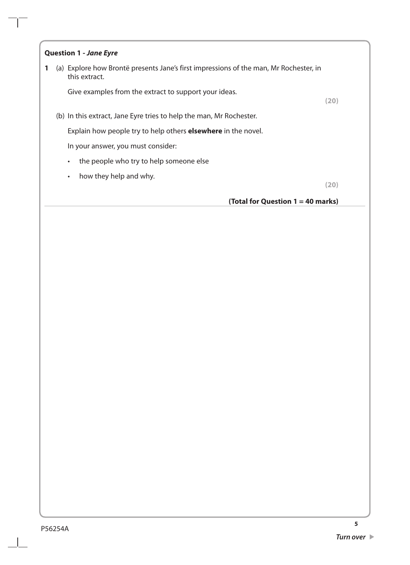| <b>Question 1 - Jane Eyre</b>                                                                          |      |  |
|--------------------------------------------------------------------------------------------------------|------|--|
| (a) Explore how Brontë presents Jane's first impressions of the man, Mr Rochester, in<br>this extract. |      |  |
| Give examples from the extract to support your ideas.                                                  | (20) |  |
| (b) In this extract, Jane Eyre tries to help the man, Mr Rochester.                                    |      |  |
| Explain how people try to help others <b>elsewhere</b> in the novel.                                   |      |  |
| In your answer, you must consider:                                                                     |      |  |
| the people who try to help someone else<br>$\bullet$                                                   |      |  |
| how they help and why.<br>$\bullet$                                                                    |      |  |
|                                                                                                        | (20) |  |
| (Total for Question 1 = 40 marks)                                                                      |      |  |
|                                                                                                        |      |  |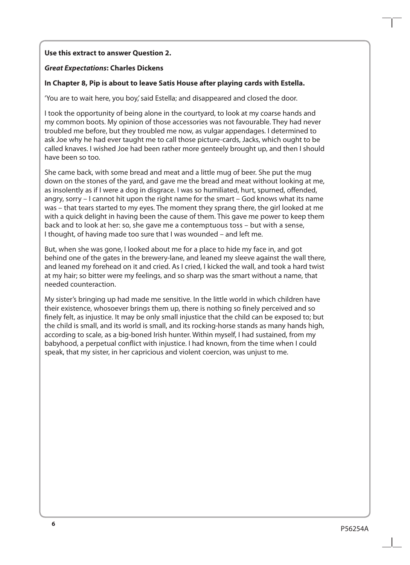## **Use this extract to answer Question 2.**

#### *Great Expectations***: Charles Dickens**

## **In Chapter 8, Pip is about to leave Satis House after playing cards with Estella.**

'You are to wait here, you boy,' said Estella; and disappeared and closed the door.

I took the opportunity of being alone in the courtyard, to look at my coarse hands and my common boots. My opinion of those accessories was not favourable. They had never troubled me before, but they troubled me now, as vulgar appendages. I determined to ask Joe why he had ever taught me to call those picture-cards, Jacks, which ought to be called knaves. I wished Joe had been rather more genteely brought up, and then I should have been so too.

She came back, with some bread and meat and a little mug of beer. She put the mug down on the stones of the yard, and gave me the bread and meat without looking at me, as insolently as if I were a dog in disgrace. I was so humiliated, hurt, spurned, offended, angry, sorry – I cannot hit upon the right name for the smart – God knows what its name was – that tears started to my eyes. The moment they sprang there, the girl looked at me with a quick delight in having been the cause of them. This gave me power to keep them back and to look at her: so, she gave me a contemptuous toss – but with a sense, I thought, of having made too sure that I was wounded – and left me.

But, when she was gone, I looked about me for a place to hide my face in, and got behind one of the gates in the brewery-lane, and leaned my sleeve against the wall there, and leaned my forehead on it and cried. As I cried, I kicked the wall, and took a hard twist at my hair; so bitter were my feelings, and so sharp was the smart without a name, that needed counteraction.

My sister's bringing up had made me sensitive. In the little world in which children have their existence, whosoever brings them up, there is nothing so finely perceived and so finely felt, as injustice. It may be only small injustice that the child can be exposed to; but the child is small, and its world is small, and its rocking-horse stands as many hands high, according to scale, as a big-boned Irish hunter. Within myself, I had sustained, from my babyhood, a perpetual conflict with injustice. I had known, from the time when I could speak, that my sister, in her capricious and violent coercion, was unjust to me.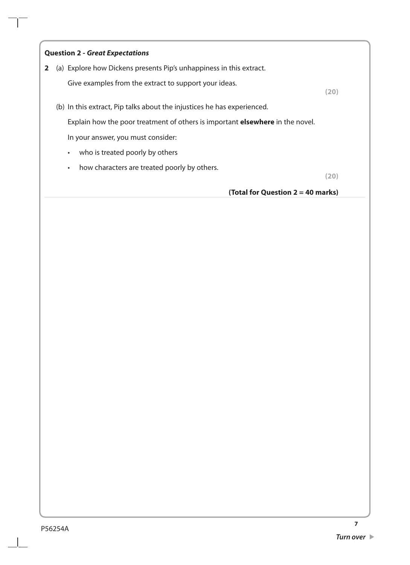## **Question 2 -** *Great Expectations*

**2** (a) Explore how Dickens presents Pip's unhappiness in this extract. Give examples from the extract to support your ideas. **(20)** (b) In this extract, Pip talks about the injustices he has experienced. Explain how the poor treatment of others is important **elsewhere** in the novel. In your answer, you must consider: • who is treated poorly by others

• how characters are treated poorly by others.

**(20)**

**(Total for Question 2 = 40 marks)**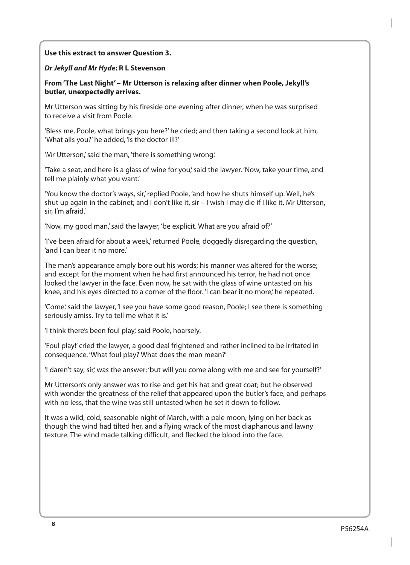#### **Use this extract to answer Question 3.**

#### *Dr Jekyll and Mr Hyde***: R L Stevenson**

#### **From 'The Last Night' – Mr Utterson is relaxing after dinner when Poole, Jekyll's butler, unexpectedly arrives.**

Mr Utterson was sitting by his fireside one evening after dinner, when he was surprised to receive a visit from Poole.

'Bless me, Poole, what brings you here?' he cried; and then taking a second look at him, 'What ails you?' he added, 'is the doctor ill?'

'Mr Utterson,' said the man, 'there is something wrong.'

'Take a seat, and here is a glass of wine for you,' said the lawyer. 'Now, take your time, and tell me plainly what you want.'

'You know the doctor's ways, sir,' replied Poole, 'and how he shuts himself up. Well, he's shut up again in the cabinet; and I don't like it, sir – I wish I may die if I like it. Mr Utterson, sir, I'm afraid.'

'Now, my good man,' said the lawyer, 'be explicit. What are you afraid of?'

'I've been afraid for about a week,' returned Poole, doggedly disregarding the question, 'and I can bear it no more.'

The man's appearance amply bore out his words; his manner was altered for the worse; and except for the moment when he had first announced his terror, he had not once looked the lawyer in the face. Even now, he sat with the glass of wine untasted on his knee, and his eyes directed to a corner of the floor. 'I can bear it no more,' he repeated.

'Come,' said the lawyer, 'I see you have some good reason, Poole; I see there is something seriously amiss. Try to tell me what it is.'

'I think there's been foul play,' said Poole, hoarsely.

'Foul play!' cried the lawyer, a good deal frightened and rather inclined to be irritated in consequence. 'What foul play? What does the man mean?'

'I daren't say, sir,' was the answer; 'but will you come along with me and see for yourself?'

Mr Utterson's only answer was to rise and get his hat and great coat; but he observed with wonder the greatness of the relief that appeared upon the butler's face, and perhaps with no less, that the wine was still untasted when he set it down to follow.

It was a wild, cold, seasonable night of March, with a pale moon, lying on her back as though the wind had tilted her, and a flying wrack of the most diaphanous and lawny texture. The wind made talking difficult, and flecked the blood into the face.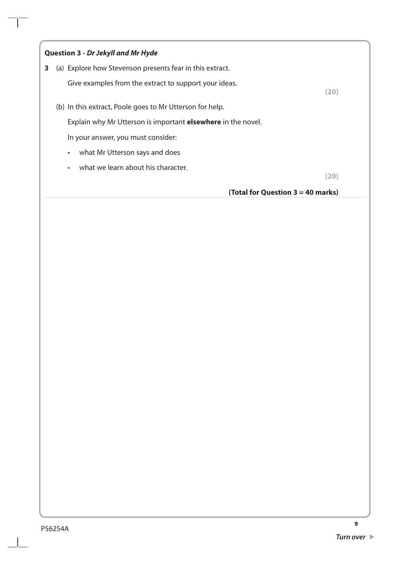# **Question 3 -** *Dr Jekyll and Mr Hyde*

| 3 | (a) Explore how Stevenson presents fear in this extract.            |      |
|---|---------------------------------------------------------------------|------|
|   | Give examples from the extract to support your ideas.               | (20) |
|   | (b) In this extract, Poole goes to Mr Utterson for help.            |      |
|   | Explain why Mr Utterson is important <b>elsewhere</b> in the novel. |      |
|   | In your answer, you must consider:                                  |      |
|   | what Mr Utterson says and does<br>$\bullet$                         |      |
|   | what we learn about his character.                                  |      |

**(20)**

**(Total for Question 3 = 40 marks)**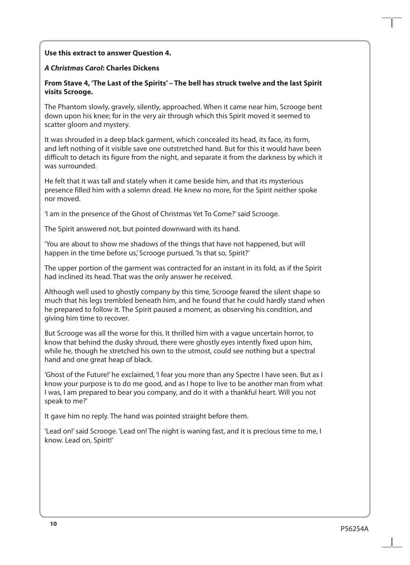#### **Use this extract to answer Question 4.**

#### *A Christmas Carol***: Charles Dickens**

## **From Stave 4, 'The Last of the Spirits' – The bell has struck twelve and the last Spirit visits Scrooge.**

The Phantom slowly, gravely, silently, approached. When it came near him, Scrooge bent down upon his knee; for in the very air through which this Spirit moved it seemed to scatter gloom and mystery.

It was shrouded in a deep black garment, which concealed its head, its face, its form, and left nothing of it visible save one outstretched hand. But for this it would have been difficult to detach its figure from the night, and separate it from the darkness by which it was surrounded.

He felt that it was tall and stately when it came beside him, and that its mysterious presence filled him with a solemn dread. He knew no more, for the Spirit neither spoke nor moved.

'I am in the presence of the Ghost of Christmas Yet To Come?' said Scrooge.

The Spirit answered not, but pointed downward with its hand.

'You are about to show me shadows of the things that have not happened, but will happen in the time before us,' Scrooge pursued. 'Is that so, Spirit?'

The upper portion of the garment was contracted for an instant in its fold, as if the Spirit had inclined its head. That was the only answer he received.

Although well used to ghostly company by this time, Scrooge feared the silent shape so much that his legs trembled beneath him, and he found that he could hardly stand when he prepared to follow it. The Spirit paused a moment, as observing his condition, and giving him time to recover.

But Scrooge was all the worse for this. It thrilled him with a vague uncertain horror, to know that behind the dusky shroud, there were ghostly eyes intently fixed upon him, while he, though he stretched his own to the utmost, could see nothing but a spectral hand and one great heap of black.

'Ghost of the Future!' he exclaimed, 'I fear you more than any Spectre I have seen. But as I know your purpose is to do me good, and as I hope to live to be another man from what I was, I am prepared to bear you company, and do it with a thankful heart. Will you not speak to me?'

It gave him no reply. The hand was pointed straight before them.

'Lead on!' said Scrooge. 'Lead on! The night is waning fast, and it is precious time to me, I know. Lead on, Spirit!'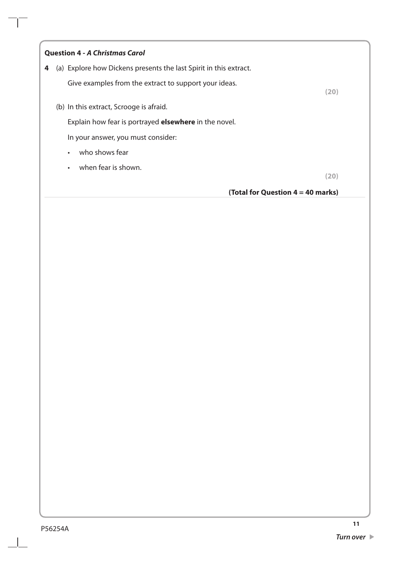# **Question 4 -** *A Christmas Carol*

| 4 | (a) Explore how Dickens presents the last Spirit in this extract. |      |
|---|-------------------------------------------------------------------|------|
|   | Give examples from the extract to support your ideas.             | (20) |
|   | (b) In this extract, Scrooge is afraid.                           |      |
|   | Explain how fear is portrayed <b>elsewhere</b> in the novel.      |      |
|   | In your answer, you must consider:                                |      |
|   | who shows fear<br>٠                                               |      |
|   | when fear is shown.<br>$\bullet$                                  |      |
|   |                                                                   | (20) |
|   | (Total for Question $4 = 40$ marks)                               |      |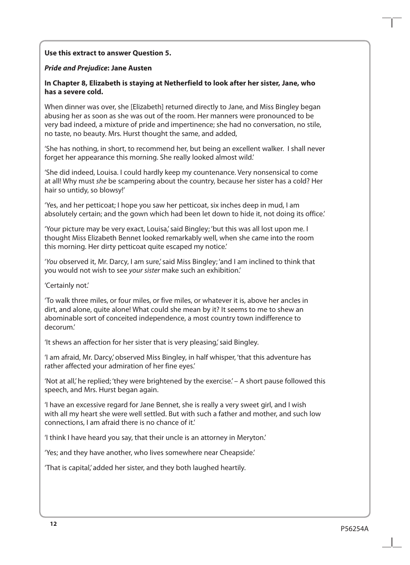#### **Use this extract to answer Question 5.**

#### *Pride and Prejudice***: Jane Austen**

#### **In Chapter 8, Elizabeth is staying at Netherfield to look after her sister, Jane, who has a severe cold.**

When dinner was over, she [Elizabeth] returned directly to Jane, and Miss Bingley began abusing her as soon as she was out of the room. Her manners were pronounced to be very bad indeed, a mixture of pride and impertinence; she had no conversation, no stile, no taste, no beauty. Mrs. Hurst thought the same, and added,

'She has nothing, in short, to recommend her, but being an excellent walker. I shall never forget her appearance this morning. She really looked almost wild.'

'She did indeed, Louisa. I could hardly keep my countenance. Very nonsensical to come at all! Why must *she* be scampering about the country, because her sister has a cold? Her hair so untidy, so blowsy!'

'Yes, and her petticoat; I hope you saw her petticoat, six inches deep in mud, I am absolutely certain; and the gown which had been let down to hide it, not doing its office.'

'Your picture may be very exact, Louisa,' said Bingley; 'but this was all lost upon me. I thought Miss Elizabeth Bennet looked remarkably well, when she came into the room this morning. Her dirty petticoat quite escaped my notice.'

'*You* observed it, Mr. Darcy, I am sure,' said Miss Bingley; 'and I am inclined to think that you would not wish to see *your sister* make such an exhibition.'

'Certainly not.'

'To walk three miles, or four miles, or five miles, or whatever it is, above her ancles in dirt, and alone, quite alone! What could she mean by it? It seems to me to shew an abominable sort of conceited independence, a most country town indifference to decorum.'

'It shews an affection for her sister that is very pleasing,' said Bingley.

'I am afraid, Mr. Darcy,' observed Miss Bingley, in half whisper, 'that this adventure has rather affected your admiration of her fine eyes.'

'Not at all,' he replied; 'they were brightened by the exercise.' – A short pause followed this speech, and Mrs. Hurst began again.

'I have an excessive regard for Jane Bennet, she is really a very sweet girl, and I wish with all my heart she were well settled. But with such a father and mother, and such low connections, I am afraid there is no chance of it.'

'I think I have heard you say, that their uncle is an attorney in Meryton.'

'Yes; and they have another, who lives somewhere near Cheapside.'

'That is capital,' added her sister, and they both laughed heartily.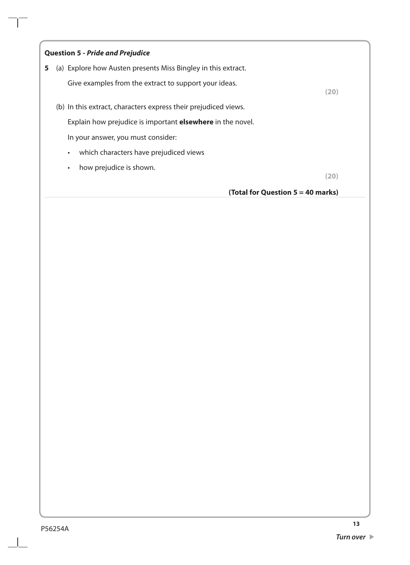# **Question 5 -** *Pride and Prejudice*

**5** (a) Explore how Austen presents Miss Bingley in this extract. Give examples from the extract to support your ideas. **(20)** (b) In this extract, characters express their prejudiced views. Explain how prejudice is important **elsewhere** in the novel. In your answer, you must consider: • which characters have prejudiced views • how prejudice is shown. **(20)**

**(Total for Question 5 = 40 marks)**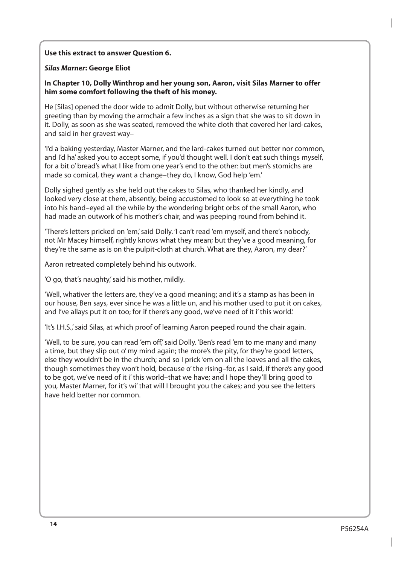#### **Use this extract to answer Question 6.**

#### *Silas Marner***: George Eliot**

#### **In Chapter 10, Dolly Winthrop and her young son, Aaron, visit Silas Marner to offer him some comfort following the theft of his money.**

He [Silas] opened the door wide to admit Dolly, but without otherwise returning her greeting than by moving the armchair a few inches as a sign that she was to sit down in it. Dolly, as soon as she was seated, removed the white cloth that covered her lard-cakes, and said in her gravest way–

'I'd a baking yesterday, Master Marner, and the lard-cakes turned out better nor common, and I'd ha' asked you to accept some, if you'd thought well. I don't eat such things myself, for a bit o' bread's what I like from one year's end to the other: but men's stomichs are made so comical, they want a change–they do, I know, God help 'em.'

Dolly sighed gently as she held out the cakes to Silas, who thanked her kindly, and looked very close at them, absently, being accustomed to look so at everything he took into his hand–eyed all the while by the wondering bright orbs of the small Aaron, who had made an outwork of his mother's chair, and was peeping round from behind it.

'There's letters pricked on 'em,' said Dolly. 'I can't read 'em myself, and there's nobody, not Mr Macey himself, rightly knows what they mean; but they've a good meaning, for they're the same as is on the pulpit-cloth at church. What are they, Aaron, my dear?'

Aaron retreated completely behind his outwork.

'O go, that's naughty,' said his mother, mildly.

'Well, whativer the letters are, they've a good meaning; and it's a stamp as has been in our house, Ben says, ever since he was a little un, and his mother used to put it on cakes, and I've allays put it on too; for if there's any good, we've need of it i' this world.'

'It's I.H.S.,' said Silas, at which proof of learning Aaron peeped round the chair again.

'Well, to be sure, you can read 'em off', said Dolly. 'Ben's read 'em to me many and many a time, but they slip out o' my mind again; the more's the pity, for they're good letters, else they wouldn't be in the church; and so I prick 'em on all the loaves and all the cakes, though sometimes they won't hold, because o' the rising–for, as I said, if there's any good to be got, we've need of it i' this world–that we have; and I hope they'll bring good to you, Master Marner, for it's wi' that will I brought you the cakes; and you see the letters have held better nor common.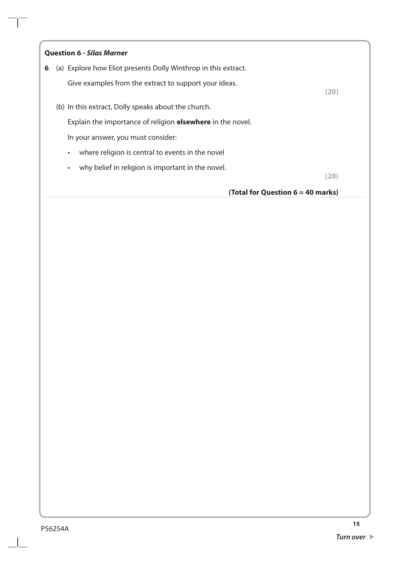# **Question 6 -** *Silas Marner*

| 6 | (a) Explore how Eliot presents Dolly Winthrop in this extract.    |      |
|---|-------------------------------------------------------------------|------|
|   | Give examples from the extract to support your ideas.             | (20) |
|   | (b) In this extract, Dolly speaks about the church.               |      |
|   | Explain the importance of religion <b>elsewhere</b> in the novel. |      |
|   | In your answer, you must consider:                                |      |
|   | where religion is central to events in the novel<br>$\bullet$     |      |
|   | why belief in religion is important in the novel.<br>$\bullet$    |      |
|   |                                                                   |      |

**(Total for Question 6 = 40 marks)**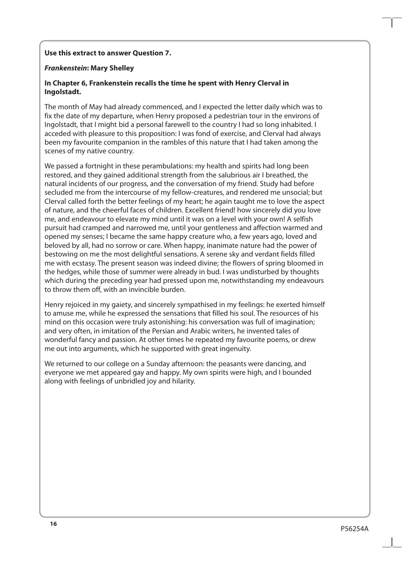#### **Use this extract to answer Question 7.**

## *Frankenstein***: Mary Shelley**

## **In Chapter 6, Frankenstein recalls the time he spent with Henry Clerval in Ingolstadt.**

The month of May had already commenced, and I expected the letter daily which was to fix the date of my departure, when Henry proposed a pedestrian tour in the environs of Ingolstadt, that I might bid a personal farewell to the country I had so long inhabited. I acceded with pleasure to this proposition: I was fond of exercise, and Clerval had always been my favourite companion in the rambles of this nature that I had taken among the scenes of my native country.

We passed a fortnight in these perambulations: my health and spirits had long been restored, and they gained additional strength from the salubrious air I breathed, the natural incidents of our progress, and the conversation of my friend. Study had before secluded me from the intercourse of my fellow-creatures, and rendered me unsocial; but Clerval called forth the better feelings of my heart; he again taught me to love the aspect of nature, and the cheerful faces of children. Excellent friend! how sincerely did you love me, and endeavour to elevate my mind until it was on a level with your own! A selfish pursuit had cramped and narrowed me, until your gentleness and affection warmed and opened my senses; I became the same happy creature who, a few years ago, loved and beloved by all, had no sorrow or care. When happy, inanimate nature had the power of bestowing on me the most delightful sensations. A serene sky and verdant fields filled me with ecstasy. The present season was indeed divine; the flowers of spring bloomed in the hedges, while those of summer were already in bud. I was undisturbed by thoughts which during the preceding year had pressed upon me, notwithstanding my endeavours to throw them off, with an invincible burden.

Henry rejoiced in my gaiety, and sincerely sympathised in my feelings: he exerted himself to amuse me, while he expressed the sensations that filled his soul. The resources of his mind on this occasion were truly astonishing: his conversation was full of imagination; and very often, in imitation of the Persian and Arabic writers, he invented tales of wonderful fancy and passion. At other times he repeated my favourite poems, or drew me out into arguments, which he supported with great ingenuity.

We returned to our college on a Sunday afternoon: the peasants were dancing, and everyone we met appeared gay and happy. My own spirits were high, and I bounded along with feelings of unbridled joy and hilarity.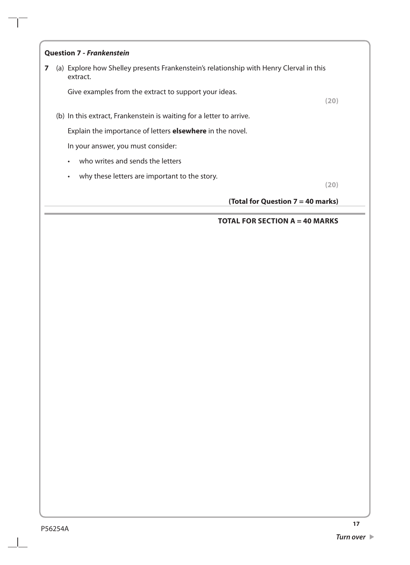|   | <b>Question 7 - Frankenstein</b>                                                                    |      |
|---|-----------------------------------------------------------------------------------------------------|------|
| 7 | (a) Explore how Shelley presents Frankenstein's relationship with Henry Clerval in this<br>extract. |      |
|   | Give examples from the extract to support your ideas.                                               | (20) |
|   | (b) In this extract, Frankenstein is waiting for a letter to arrive.                                |      |
|   | Explain the importance of letters <b>elsewhere</b> in the novel.                                    |      |
|   | In your answer, you must consider:                                                                  |      |
|   | who writes and sends the letters                                                                    |      |
|   | why these letters are important to the story.<br>$\bullet$                                          | (20) |
|   | (Total for Question 7 = 40 marks)                                                                   |      |
|   | <b>TOTAL FOR SECTION A = 40 MARKS</b>                                                               |      |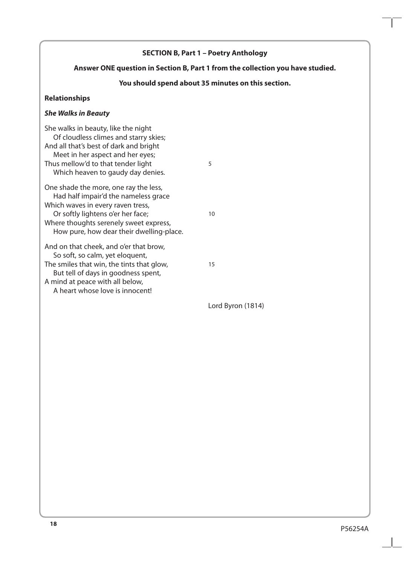# **SECTION B, Part 1 – Poetry Anthology**

# **Answer ONE question in Section B, Part 1 from the collection you have studied.**

# **You should spend about 35 minutes on this section.**

#### **Relationships**

# *She Walks in Beauty*

| She walks in beauty, like the night<br>Of cloudless climes and starry skies;<br>And all that's best of dark and bright<br>Meet in her aspect and her eyes;<br>Thus mellow'd to that tender light<br>Which heaven to gaudy day denies.         | 5  |
|-----------------------------------------------------------------------------------------------------------------------------------------------------------------------------------------------------------------------------------------------|----|
| One shade the more, one ray the less,<br>Had half impair'd the nameless grace<br>Which waves in every raven tress,<br>Or softly lightens o'er her face;<br>Where thoughts serenely sweet express,<br>How pure, how dear their dwelling-place. | 10 |
| And on that cheek, and o'er that brow,<br>So soft, so calm, yet eloquent,<br>The smiles that win, the tints that glow,<br>But tell of days in goodness spent,<br>A mind at peace with all below,<br>A heart whose love is innocent!           | 15 |

Lord Byron (1814)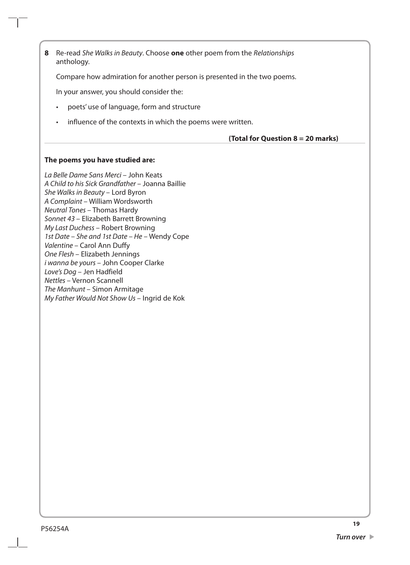**8** Re-read *She Walks in Beauty*. Choose **one** other poem from the *Relationships*  anthology.

Compare how admiration for another person is presented in the two poems.

In your answer, you should consider the:

- poets' use of language, form and structure
- influence of the contexts in which the poems were written.

#### **(Total for Question 8 = 20 marks)**

#### **The poems you have studied are:**

*La Belle Dame Sans Merci* – John Keats *A Child to his Sick Grandfather* – Joanna Baillie *She Walks in Beauty* – Lord Byron *A Complaint* – William Wordsworth *Neutral Tones* – Thomas Hardy *Sonnet 43* – Elizabeth Barrett Browning *My Last Duchess* – Robert Browning *1st Date – She and 1st Date – He –* Wendy Cope *Valentine* – Carol Ann Duffy *One Flesh* – Elizabeth Jennings *i wanna be yours* – John Cooper Clarke *Love's Dog* – Jen Hadfield *Nettles* – Vernon Scannell *The Manhunt* – Simon Armitage *My Father Would Not Show Us* – Ingrid de Kok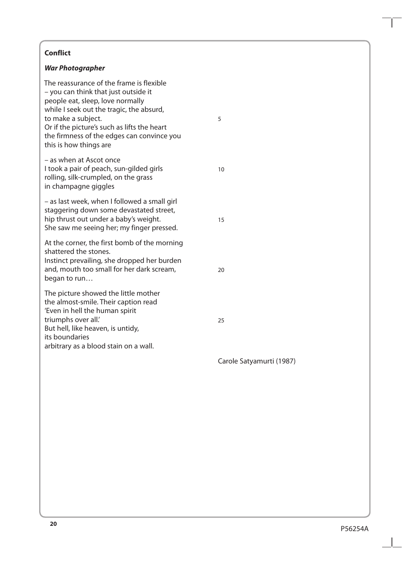# **Conflict**

# *War Photographer*

| The reassurance of the frame is flexible<br>- you can think that just outside it<br>people eat, sleep, love normally<br>while I seek out the tragic, the absurd,<br>to make a subject.<br>Or if the picture's such as lifts the heart<br>the firmness of the edges can convince you<br>this is how things are | 5  |
|---------------------------------------------------------------------------------------------------------------------------------------------------------------------------------------------------------------------------------------------------------------------------------------------------------------|----|
| – as when at Ascot once<br>I took a pair of peach, sun-gilded girls<br>rolling, silk-crumpled, on the grass<br>in champagne giggles                                                                                                                                                                           | 10 |
| - as last week, when I followed a small girl<br>staggering down some devastated street,<br>hip thrust out under a baby's weight.<br>She saw me seeing her; my finger pressed.                                                                                                                                 | 15 |
| At the corner, the first bomb of the morning<br>shattered the stones.<br>Instinct prevailing, she dropped her burden<br>and, mouth too small for her dark scream,<br>began to run                                                                                                                             | 20 |
| The picture showed the little mother<br>the almost-smile. Their caption read<br>'Even in hell the human spirit<br>triumphs over all.<br>But hell, like heaven, is untidy,<br>its boundaries<br>arbitrary as a blood stain on a wall.                                                                          | 25 |

Carole Satyamurti (1987)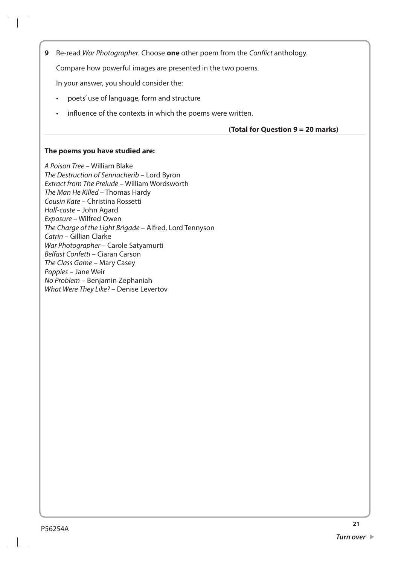**9** Re-read *War Photographer*. Choose **one** other poem from the *Conflict* anthology.

Compare how powerful images are presented in the two poems.

In your answer, you should consider the:

- poets' use of language, form and structure
- influence of the contexts in which the poems were written.

**(Total for Question 9 = 20 marks)**

#### **The poems you have studied are:**

*A Poison Tree* – William Blake *The Destruction of Sennacherib* – Lord Byron *Extract from The Prelude* – William Wordsworth *The Man He Killed* – Thomas Hardy *Cousin Kate* – Christina Rossetti *Half-caste* – John Agard *Exposure* – Wilfred Owen *The Charge of the Light Brigade* – Alfred, Lord Tennyson *Catrin* – Gillian Clarke *War Photographer* – Carole Satyamurti *Belfast Confetti* – Ciaran Carson *The Class Game* – Mary Casey *Poppies* – Jane Weir *No Problem* – Benjamin Zephaniah *What Were They Like?* – Denise Levertov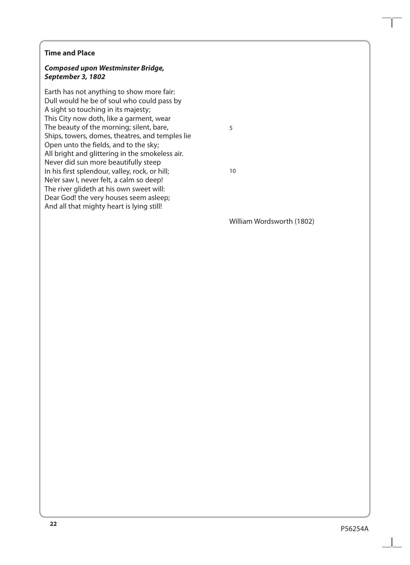#### **Time and Place**

## *Composed upon Westminster Bridge, September 3, 1802*

Earth has not anything to show more fair: Dull would he be of soul who could pass by A sight so touching in its majesty; This City now doth, like a garment, wear The beauty of the morning; silent, bare, Ships, towers, domes, theatres, and temples lie Open unto the fields, and to the sky; All bright and glittering in the smokeless air. Never did sun more beautifully steep In his first splendour, valley, rock, or hill; Ne'er saw I, never felt, a calm so deep! The river glideth at his own sweet will: Dear God! the very houses seem asleep; And all that mighty heart is lying still!

5

10

William Wordsworth (1802)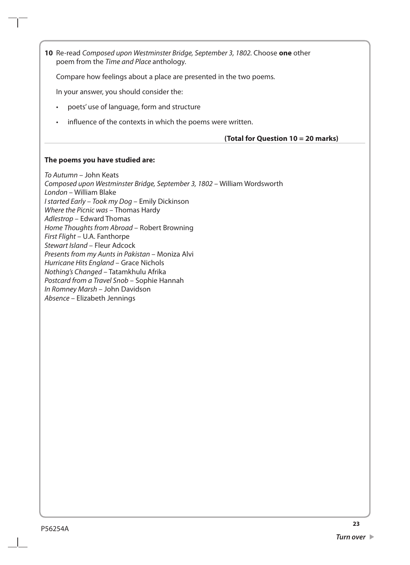**10** Re-read *Composed upon Westminster Bridge, September 3, 1802.* Choose **one** other poem from the *Time and Place* anthology.

Compare how feelings about a place are presented in the two poems.

In your answer, you should consider the:

- poets' use of language, form and structure
- influence of the contexts in which the poems were written.

#### **(Total for Question 10 = 20 marks)**

#### **The poems you have studied are:**

*To Autumn* – John Keats *Composed upon Westminster Bridge, September 3, 1802* – William Wordsworth *London* – William Blake *I started Early – Took my Dog* – Emily Dickinson *Where the Picnic was* – Thomas Hardy *Adlestrop* – Edward Thomas *Home Thoughts from Abroad* – Robert Browning *First Flight* – U.A. Fanthorpe *Stewart Island* – Fleur Adcock *Presents from my Aunts in Pakistan* – Moniza Alvi *Hurricane Hits England - Grace Nichols Nothing's Changed* – Tatamkhulu Afrika *Postcard from a Travel Snob* – Sophie Hannah *In Romney Marsh* – John Davidson *Absence* – Elizabeth Jennings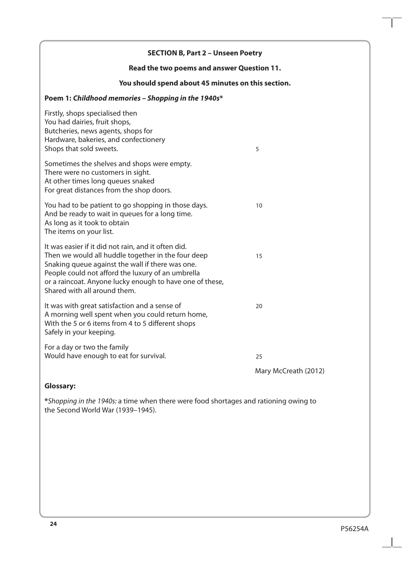# **Read the two poems and answer Question 11. You should spend about 45 minutes on this section. Poem 1:** *Childhood memories* **–** *Shopping in the 1940s***\*** Firstly, shops specialised then You had dairies, fruit shops, Butcheries, news agents, shops for Hardware, bakeries, and confectionery Shops that sold sweets. Sometimes the shelves and shops were empty. There were no customers in sight. At other times long queues snaked For great distances from the shop doors. You had to be patient to go shopping in those days. And be ready to wait in queues for a long time. As long as it took to obtain The items on your list. It was easier if it did not rain, and it often did. Then we would all huddle together in the four deep Snaking queue against the wall if there was one. People could not afford the luxury of an umbrella or a raincoat. Anyone lucky enough to have one of these, Shared with all around them. It was with great satisfaction and a sense of A morning well spent when you could return home, With the 5 or 6 items from 4 to 5 different shops Safely in your keeping. For a day or two the family Would have enough to eat for survival. Mary McCreath (2012) 5 10 15 20 25

**SECTION B, Part 2** *–* **Unseen Poetry**

# **Glossary:**

**\****Shopping in the 1940s:* a time when there were food shortages and rationing owing to the Second World War (1939*–*1945).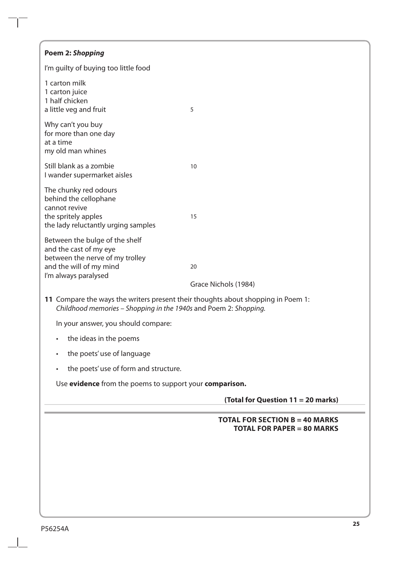| <b>Poem 2: Shopping</b>                                                                                                                              |                                                                            |
|------------------------------------------------------------------------------------------------------------------------------------------------------|----------------------------------------------------------------------------|
| I'm guilty of buying too little food                                                                                                                 |                                                                            |
| 1 carton milk<br>1 carton juice                                                                                                                      |                                                                            |
| 1 half chicken                                                                                                                                       |                                                                            |
| a little veg and fruit                                                                                                                               | 5                                                                          |
| Why can't you buy<br>for more than one day                                                                                                           |                                                                            |
| at a time<br>my old man whines                                                                                                                       |                                                                            |
| Still blank as a zombie                                                                                                                              | 10                                                                         |
| I wander supermarket aisles                                                                                                                          |                                                                            |
| The chunky red odours                                                                                                                                |                                                                            |
| behind the cellophane<br>cannot revive                                                                                                               |                                                                            |
| the spritely apples                                                                                                                                  | 15                                                                         |
| the lady reluctantly urging samples                                                                                                                  |                                                                            |
| Between the bulge of the shelf<br>and the cast of my eye                                                                                             |                                                                            |
| between the nerve of my trolley<br>and the will of my mind                                                                                           | 20                                                                         |
| I'm always paralysed                                                                                                                                 |                                                                            |
|                                                                                                                                                      | Grace Nichols (1984)                                                       |
| 11 Compare the ways the writers present their thoughts about shopping in Poem 1:<br>Childhood memories - Shopping in the 1940s and Poem 2: Shopping. |                                                                            |
| In your answer, you should compare:                                                                                                                  |                                                                            |
| the ideas in the poems                                                                                                                               |                                                                            |
| the poets' use of language                                                                                                                           |                                                                            |
| the poets' use of form and structure.                                                                                                                |                                                                            |
| Use evidence from the poems to support your comparison.                                                                                              |                                                                            |
|                                                                                                                                                      | (Total for Question 11 = 20 marks)                                         |
|                                                                                                                                                      | <b>TOTAL FOR SECTION B = 40 MARKS</b><br><b>TOTAL FOR PAPER = 80 MARKS</b> |
|                                                                                                                                                      |                                                                            |
|                                                                                                                                                      |                                                                            |
|                                                                                                                                                      |                                                                            |
|                                                                                                                                                      |                                                                            |
|                                                                                                                                                      |                                                                            |